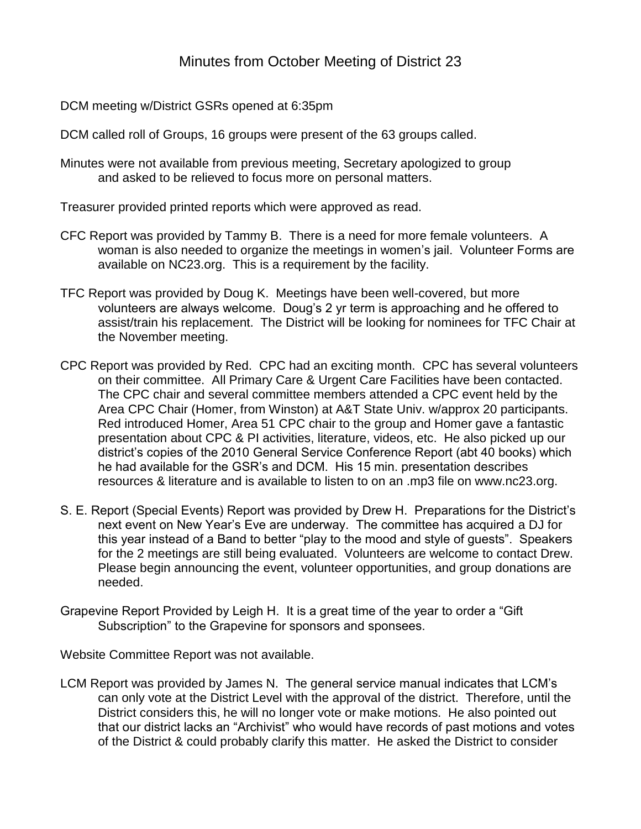DCM meeting w/District GSRs opened at 6:35pm

DCM called roll of Groups, 16 groups were present of the 63 groups called.

Minutes were not available from previous meeting, Secretary apologized to group and asked to be relieved to focus more on personal matters.

Treasurer provided printed reports which were approved as read.

- CFC Report was provided by Tammy B. There is a need for more female volunteers. A woman is also needed to organize the meetings in women"s jail. Volunteer Forms are available on NC23.org. This is a requirement by the facility.
- TFC Report was provided by Doug K. Meetings have been well-covered, but more volunteers are always welcome. Doug"s 2 yr term is approaching and he offered to assist/train his replacement. The District will be looking for nominees for TFC Chair at the November meeting.
- CPC Report was provided by Red. CPC had an exciting month. CPC has several volunteers on their committee. All Primary Care & Urgent Care Facilities have been contacted. The CPC chair and several committee members attended a CPC event held by the Area CPC Chair (Homer, from Winston) at A&T State Univ. w/approx 20 participants. Red introduced Homer, Area 51 CPC chair to the group and Homer gave a fantastic presentation about CPC & PI activities, literature, videos, etc. He also picked up our district"s copies of the 2010 General Service Conference Report (abt 40 books) which he had available for the GSR"s and DCM. His 15 min. presentation describes resources & literature and is available to listen to on an .mp3 file on www.nc23.org.
- S. E. Report (Special Events) Report was provided by Drew H. Preparations for the District"s next event on New Year"s Eve are underway. The committee has acquired a DJ for this year instead of a Band to better "play to the mood and style of guests". Speakers for the 2 meetings are still being evaluated. Volunteers are welcome to contact Drew. Please begin announcing the event, volunteer opportunities, and group donations are needed.
- Grapevine Report Provided by Leigh H. It is a great time of the year to order a "Gift Subscription" to the Grapevine for sponsors and sponsees.

Website Committee Report was not available.

LCM Report was provided by James N. The general service manual indicates that LCM"s can only vote at the District Level with the approval of the district. Therefore, until the District considers this, he will no longer vote or make motions. He also pointed out that our district lacks an "Archivist" who would have records of past motions and votes of the District & could probably clarify this matter. He asked the District to consider